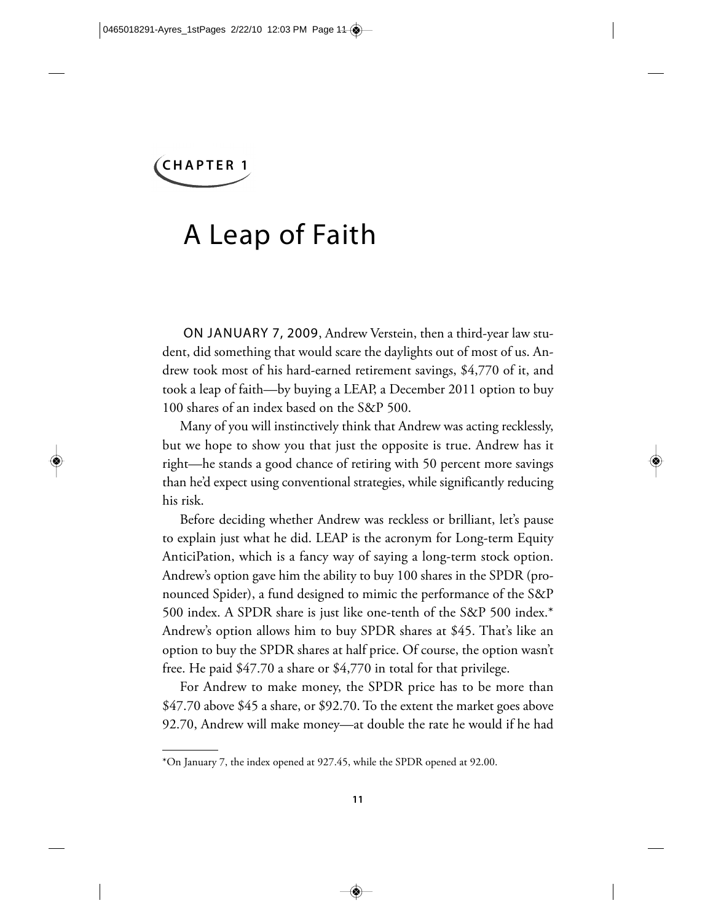# A Leap of Faith

ON JANUARY 7, 2009, Andrew Verstein, then a third-year law student, did something that would scare the daylights out of most of us. Andrew took most of his hard-earned retirement savings, \$4,770 of it, and took a leap of faith—by buying a LEAP, a December 2011 option to buy 100 shares of an index based on the S&P 500.

Many of you will instinctively think that Andrew was acting recklessly, but we hope to show you that just the opposite is true. Andrew has it right—he stands a good chance of retiring with 50 percent more savings than he'd expect using conventional strategies, while significantly reducing his risk.

Before deciding whether Andrew was reckless or brilliant, let's pause to explain just what he did. LEAP is the acronym for Long-term Equity AnticiPation, which is a fancy way of saying a long-term stock option. Andrew's option gave him the ability to buy 100 shares in the SPDR (pronounced Spider), a fund designed to mimic the performance of the S&P 500 index. A SPDR share is just like one-tenth of the S&P 500 index.\* Andrew's option allows him to buy SPDR shares at \$45. That's like an option to buy the SPDR shares at half price. Of course, the option wasn't free. He paid \$47.70 a share or \$4,770 in total for that privilege.

For Andrew to make money, the SPDR price has to be more than \$47.70 above \$45 a share, or \$92.70. To the extent the market goes above 92.70, Andrew will make money—at double the rate he would if he had

<sup>\*</sup>On January 7, the index opened at 927.45, while the SPDR opened at 92.00.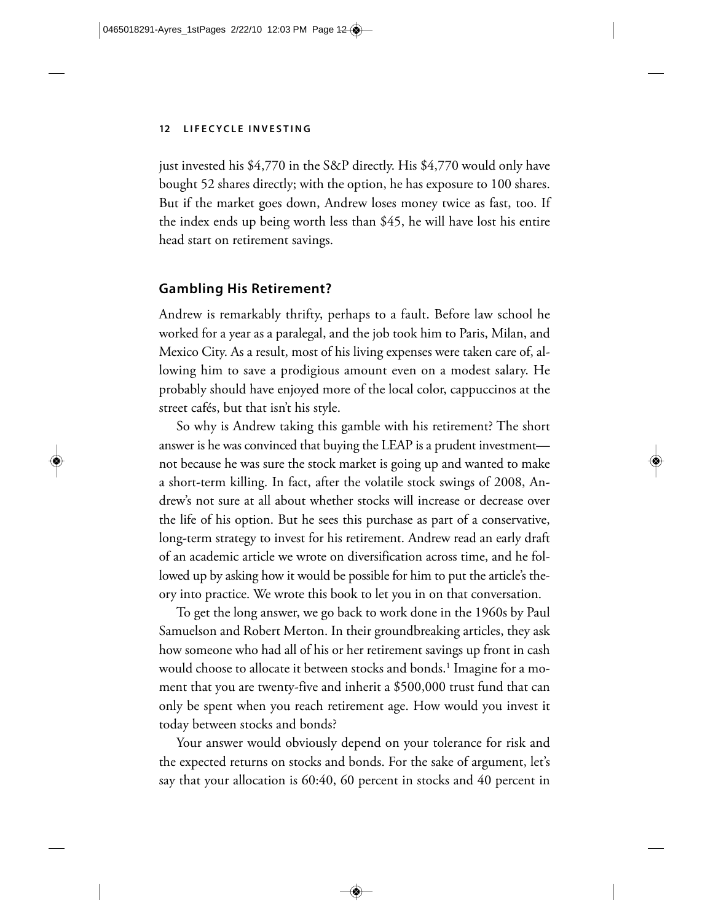just invested his \$4,770 in the S&P directly. His \$4,770 would only have bought 52 shares directly; with the option, he has exposure to 100 shares. But if the market goes down, Andrew loses money twice as fast, too. If the index ends up being worth less than \$45, he will have lost his entire head start on retirement savings.

# **Gambling His Retirement?**

Andrew is remarkably thrifty, perhaps to a fault. Before law school he worked for a year as a paralegal, and the job took him to Paris, Milan, and Mexico City. As a result, most of his living expenses were taken care of, allowing him to save a prodigious amount even on a modest salary. He probably should have enjoyed more of the local color, cappuccinos at the street cafés, but that isn't his style.

So why is Andrew taking this gamble with his retirement? The short answer is he was convinced that buying the LEAP is a prudent investment not because he was sure the stock market is going up and wanted to make a short-term killing. In fact, after the volatile stock swings of 2008, Andrew's not sure at all about whether stocks will increase or decrease over the life of his option. But he sees this purchase as part of a conservative, long-term strategy to invest for his retirement. Andrew read an early draft of an academic article we wrote on diversification across time, and he followed up by asking how it would be possible for him to put the article's theory into practice. We wrote this book to let you in on that conversation.

To get the long answer, we go back to work done in the 1960s by Paul Samuelson and Robert Merton. In their groundbreaking articles, they ask how someone who had all of his or her retirement savings up front in cash would choose to allocate it between stocks and bonds.<sup>1</sup> Imagine for a moment that you are twenty-five and inherit a \$500,000 trust fund that can only be spent when you reach retirement age. How would you invest it today between stocks and bonds?

Your answer would obviously depend on your tolerance for risk and the expected returns on stocks and bonds. For the sake of argument, let's say that your allocation is 60:40, 60 percent in stocks and 40 percent in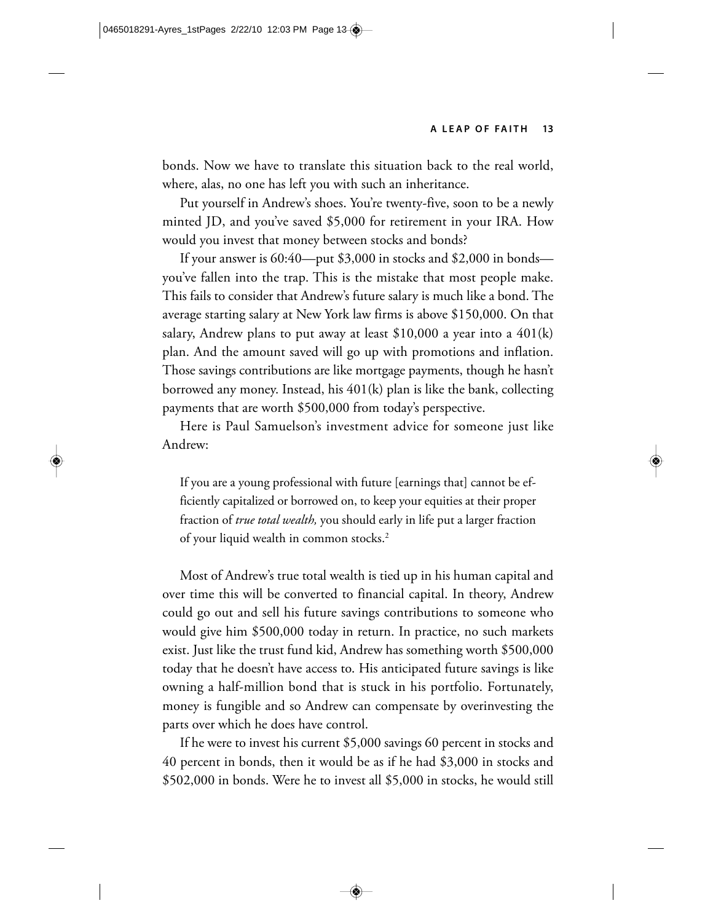bonds. Now we have to translate this situation back to the real world, where, alas, no one has left you with such an inheritance.

Put yourself in Andrew's shoes. You're twenty-five, soon to be a newly minted JD, and you've saved \$5,000 for retirement in your IRA. How would you invest that money between stocks and bonds?

If your answer is 60:40—put \$3,000 in stocks and \$2,000 in bonds you've fallen into the trap. This is the mistake that most people make. This fails to consider that Andrew's future salary is much like a bond. The average starting salary at New York law firms is above \$150,000. On that salary, Andrew plans to put away at least  $$10,000$  a year into a  $401(k)$ plan. And the amount saved will go up with promotions and inflation. Those savings contributions are like mortgage payments, though he hasn't borrowed any money. Instead, his 401(k) plan is like the bank, collecting payments that are worth \$500,000 from today's perspective.

Here is Paul Samuelson's investment advice for someone just like Andrew:

If you are a young professional with future [earnings that] cannot be efficiently capitalized or borrowed on, to keep your equities at their proper fraction of *true total wealth,* you should early in life put a larger fraction of your liquid wealth in common stocks.2

Most of Andrew's true total wealth is tied up in his human capital and over time this will be converted to financial capital. In theory, Andrew could go out and sell his future savings contributions to someone who would give him \$500,000 today in return. In practice, no such markets exist. Just like the trust fund kid, Andrew has something worth \$500,000 today that he doesn't have access to. His anticipated future savings is like owning a half-million bond that is stuck in his portfolio. Fortunately, money is fungible and so Andrew can compensate by overinvesting the parts over which he does have control.

If he were to invest his current \$5,000 savings 60 percent in stocks and 40 percent in bonds, then it would be as if he had \$3,000 in stocks and \$502,000 in bonds. Were he to invest all \$5,000 in stocks, he would still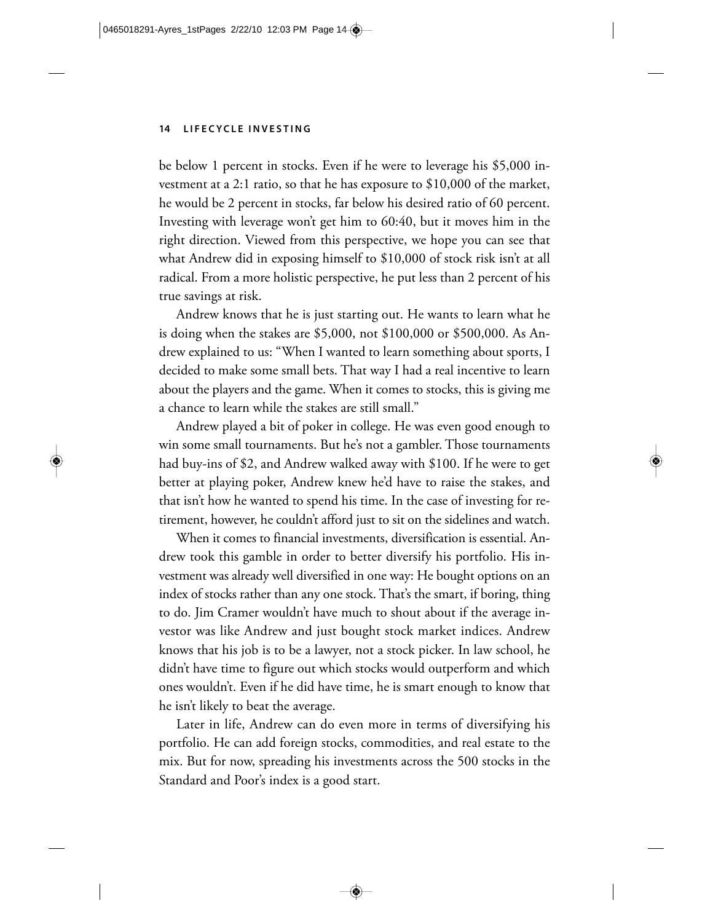be below 1 percent in stocks. Even if he were to leverage his \$5,000 investment at a 2:1 ratio, so that he has exposure to \$10,000 of the market, he would be 2 percent in stocks, far below his desired ratio of 60 percent. Investing with leverage won't get him to 60:40, but it moves him in the right direction. Viewed from this perspective, we hope you can see that what Andrew did in exposing himself to \$10,000 of stock risk isn't at all radical. From a more holistic perspective, he put less than 2 percent of his true savings at risk.

Andrew knows that he is just starting out. He wants to learn what he is doing when the stakes are \$5,000, not \$100,000 or \$500,000. As Andrew explained to us: "When I wanted to learn something about sports, I decided to make some small bets. That way I had a real incentive to learn about the players and the game. When it comes to stocks, this is giving me a chance to learn while the stakes are still small."

Andrew played a bit of poker in college. He was even good enough to win some small tournaments. But he's not a gambler. Those tournaments had buy-ins of \$2, and Andrew walked away with \$100. If he were to get better at playing poker, Andrew knew he'd have to raise the stakes, and that isn't how he wanted to spend his time. In the case of investing for retirement, however, he couldn't afford just to sit on the sidelines and watch.

When it comes to financial investments, diversification is essential. Andrew took this gamble in order to better diversify his portfolio. His investment was already well diversified in one way: He bought options on an index of stocks rather than any one stock. That's the smart, if boring, thing to do. Jim Cramer wouldn't have much to shout about if the average investor was like Andrew and just bought stock market indices. Andrew knows that his job is to be a lawyer, not a stock picker. In law school, he didn't have time to figure out which stocks would outperform and which ones wouldn't. Even if he did have time, he is smart enough to know that he isn't likely to beat the average.

Later in life, Andrew can do even more in terms of diversifying his portfolio. He can add foreign stocks, commodities, and real estate to the mix. But for now, spreading his investments across the 500 stocks in the Standard and Poor's index is a good start.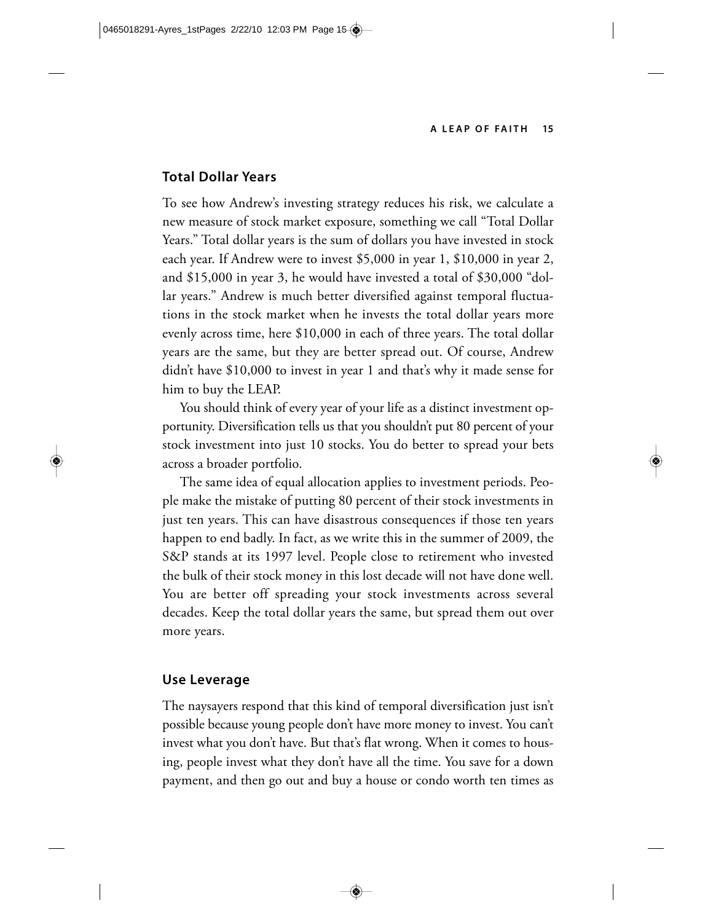#### **Total Dollar Years**

To see how Andrew's investing strategy reduces his risk, we calculate a new measure of stock market exposure, something we call "Total Dollar Years." Total dollar years is the sum of dollars you have invested in stock each year. If Andrew were to invest \$5,000 in year 1, \$10,000 in year 2, and \$15,000 in year 3, he would have invested a total of \$30,000 "dollar years." Andrew is much better diversified against temporal fluctuations in the stock market when he invests the total dollar years more evenly across time, here \$10,000 in each of three years. The total dollar years are the same, but they are better spread out. Of course, Andrew didn't have \$10,000 to invest in year 1 and that's why it made sense for him to buy the LEAP.

You should think of every year of your life as a distinct investment opportunity. Diversification tells us that you shouldn't put 80 percent of your stock investment into just 10 stocks. You do better to spread your bets across a broader portfolio.

The same idea of equal allocation applies to investment periods. People make the mistake of putting 80 percent of their stock investments in just ten years. This can have disastrous consequences if those ten years happen to end badly. In fact, as we write this in the summer of 2009, the S&P stands at its 1997 level. People close to retirement who invested the bulk of their stock money in this lost decade will not have done well. You are better off spreading your stock investments across several decades. Keep the total dollar years the same, but spread them out over more years.

### **Use Leverage**

The naysayers respond that this kind of temporal diversification just isn't possible because young people don't have more money to invest. You can't invest what you don't have. But that's flat wrong. When it comes to housing, people invest what they don't have all the time. You save for a down payment, and then go out and buy a house or condo worth ten times as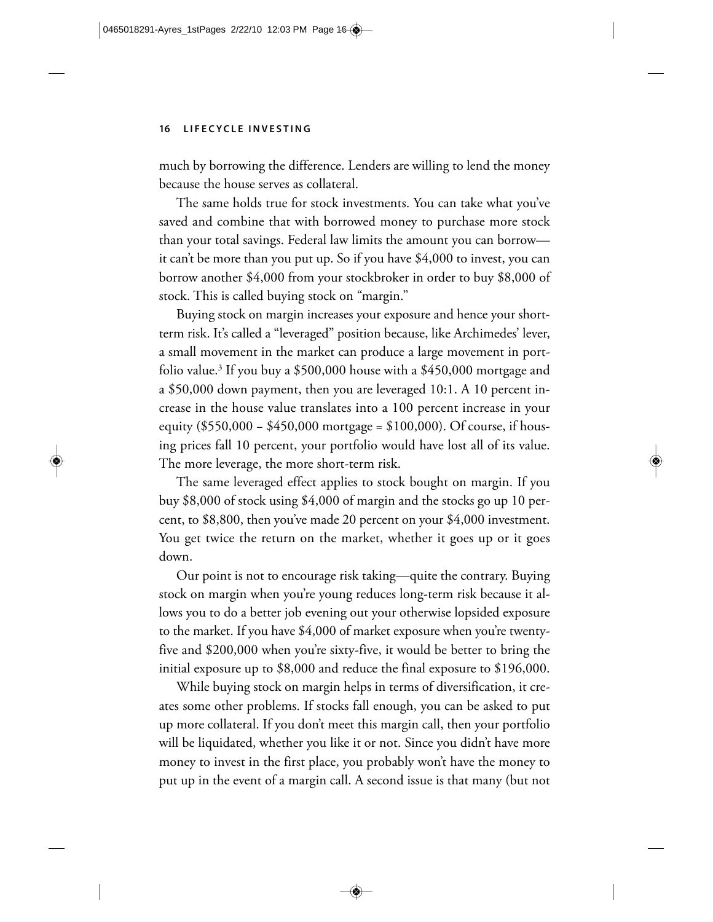much by borrowing the difference. Lenders are willing to lend the money because the house serves as collateral.

The same holds true for stock investments. You can take what you've saved and combine that with borrowed money to purchase more stock than your total savings. Federal law limits the amount you can borrow it can't be more than you put up. So if you have \$4,000 to invest, you can borrow another \$4,000 from your stockbroker in order to buy \$8,000 of stock. This is called buying stock on "margin."

Buying stock on margin increases your exposure and hence your shortterm risk. It's called a "leveraged" position because, like Archimedes' lever, a small movement in the market can produce a large movement in portfolio value.<sup>3</sup> If you buy a \$500,000 house with a \$450,000 mortgage and a \$50,000 down payment, then you are leveraged 10:1. A 10 percent increase in the house value translates into a 100 percent increase in your equity (\$550,000 − \$450,000 mortgage = \$100,000). Of course, if housing prices fall 10 percent, your portfolio would have lost all of its value. The more leverage, the more short-term risk.

The same leveraged effect applies to stock bought on margin. If you buy \$8,000 of stock using \$4,000 of margin and the stocks go up 10 percent, to \$8,800, then you've made 20 percent on your \$4,000 investment. You get twice the return on the market, whether it goes up or it goes down.

Our point is not to encourage risk taking—quite the contrary. Buying stock on margin when you're young reduces long-term risk because it allows you to do a better job evening out your otherwise lopsided exposure to the market. If you have \$4,000 of market exposure when you're twentyfive and \$200,000 when you're sixty-five, it would be better to bring the initial exposure up to \$8,000 and reduce the final exposure to \$196,000.

While buying stock on margin helps in terms of diversification, it creates some other problems. If stocks fall enough, you can be asked to put up more collateral. If you don't meet this margin call, then your portfolio will be liquidated, whether you like it or not. Since you didn't have more money to invest in the first place, you probably won't have the money to put up in the event of a margin call. A second issue is that many (but not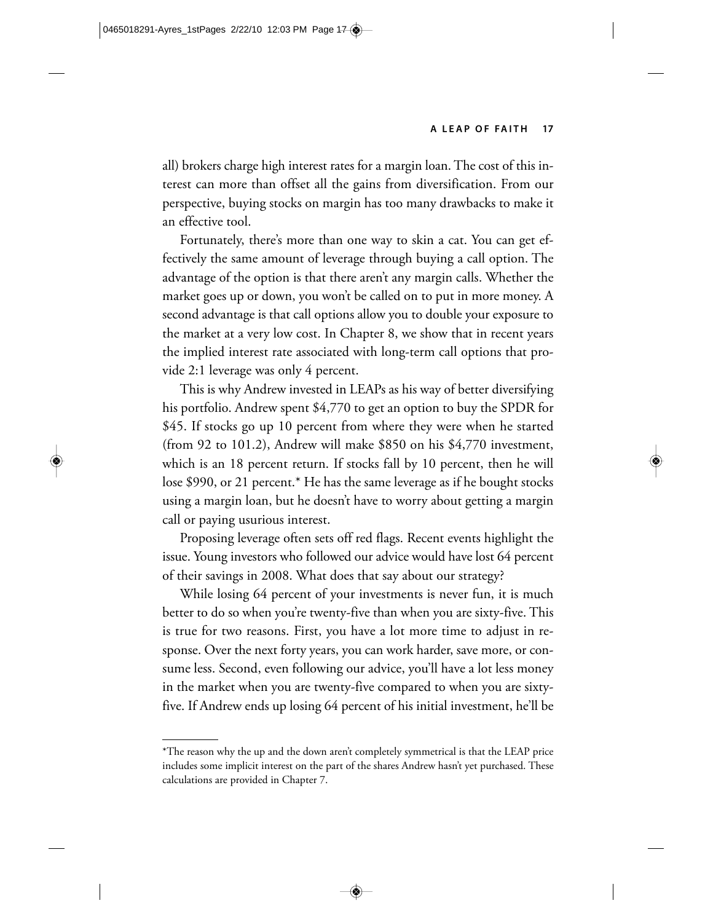all) brokers charge high interest rates for a margin loan. The cost of this interest can more than offset all the gains from diversification. From our perspective, buying stocks on margin has too many drawbacks to make it an effective tool.

Fortunately, there's more than one way to skin a cat. You can get effectively the same amount of leverage through buying a call option. The advantage of the option is that there aren't any margin calls. Whether the market goes up or down, you won't be called on to put in more money. A second advantage is that call options allow you to double your exposure to the market at a very low cost. In Chapter 8, we show that in recent years the implied interest rate associated with long-term call options that provide 2:1 leverage was only 4 percent.

This is why Andrew invested in LEAPs as his way of better diversifying his portfolio. Andrew spent \$4,770 to get an option to buy the SPDR for \$45. If stocks go up 10 percent from where they were when he started (from 92 to 101.2), Andrew will make \$850 on his \$4,770 investment, which is an 18 percent return. If stocks fall by 10 percent, then he will lose \$990, or 21 percent.\* He has the same leverage as if he bought stocks using a margin loan, but he doesn't have to worry about getting a margin call or paying usurious interest.

Proposing leverage often sets off red flags. Recent events highlight the issue. Young investors who followed our advice would have lost 64 percent of their savings in 2008. What does that say about our strategy?

While losing 64 percent of your investments is never fun, it is much better to do so when you're twenty-five than when you are sixty-five. This is true for two reasons. First, you have a lot more time to adjust in response. Over the next forty years, you can work harder, save more, or consume less. Second, even following our advice, you'll have a lot less money in the market when you are twenty-five compared to when you are sixtyfive. If Andrew ends up losing 64 percent of his initial investment, he'll be

<sup>\*</sup>The reason why the up and the down aren't completely symmetrical is that the LEAP price includes some implicit interest on the part of the shares Andrew hasn't yet purchased. These calculations are provided in Chapter 7.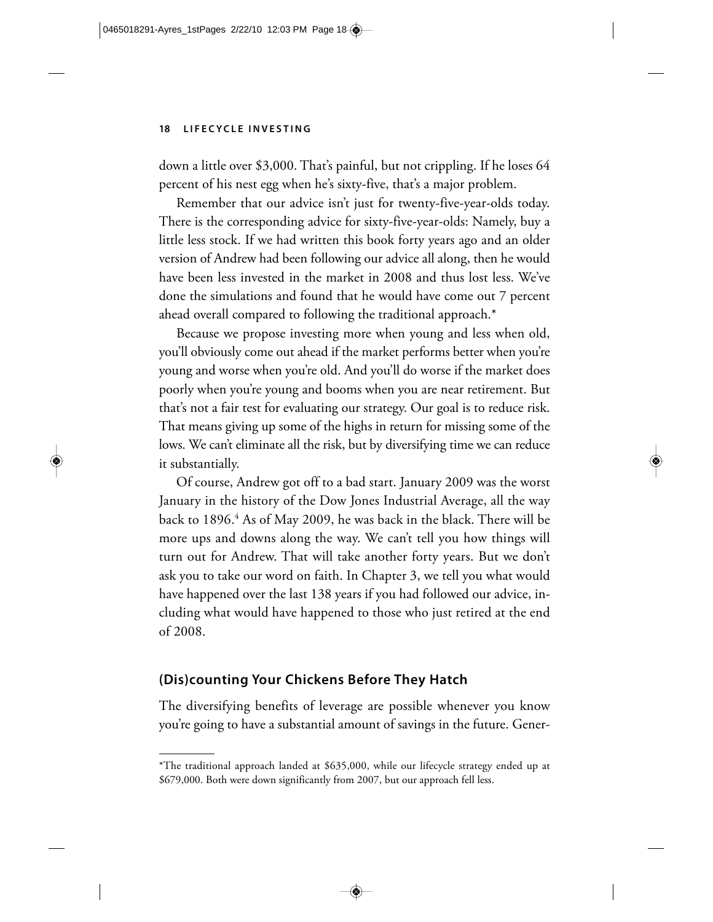down a little over \$3,000. That's painful, but not crippling. If he loses 64 percent of his nest egg when he's sixty-five, that's a major problem.

Remember that our advice isn't just for twenty-five-year-olds today. There is the corresponding advice for sixty-five-year-olds: Namely, buy a little less stock. If we had written this book forty years ago and an older version of Andrew had been following our advice all along, then he would have been less invested in the market in 2008 and thus lost less. We've done the simulations and found that he would have come out 7 percent ahead overall compared to following the traditional approach.\*

Because we propose investing more when young and less when old, you'll obviously come out ahead if the market performs better when you're young and worse when you're old. And you'll do worse if the market does poorly when you're young and booms when you are near retirement. But that's not a fair test for evaluating our strategy. Our goal is to reduce risk. That means giving up some of the highs in return for missing some of the lows. We can't eliminate all the risk, but by diversifying time we can reduce it substantially.

Of course, Andrew got off to a bad start. January 2009 was the worst January in the history of the Dow Jones Industrial Average, all the way back to 1896.<sup>4</sup> As of May 2009, he was back in the black. There will be more ups and downs along the way. We can't tell you how things will turn out for Andrew. That will take another forty years. But we don't ask you to take our word on faith. In Chapter 3, we tell you what would have happened over the last 138 years if you had followed our advice, including what would have happened to those who just retired at the end of 2008.

# **(Dis)counting Your Chickens Before They Hatch**

The diversifying benefits of leverage are possible whenever you know you're going to have a substantial amount of savings in the future. Gener-

<sup>\*</sup>The traditional approach landed at \$635,000, while our lifecycle strategy ended up at \$679,000. Both were down significantly from 2007, but our approach fell less.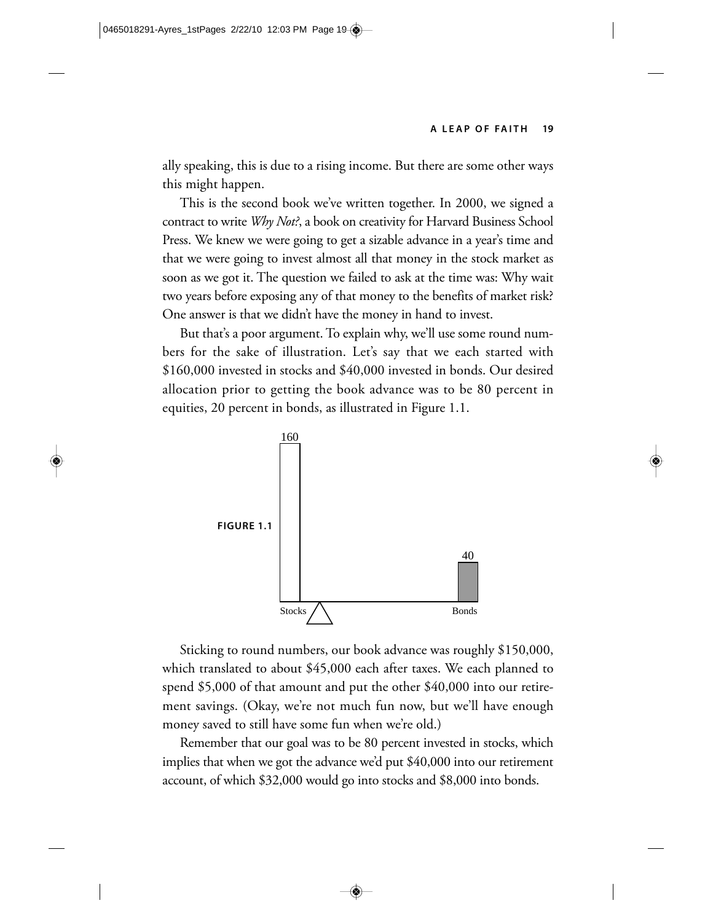ally speaking, this is due to a rising income. But there are some other ways this might happen.

This is the second book we've written together. In 2000, we signed a contract to write *Why Not?*, a book on creativity for Harvard Business School Press. We knew we were going to get a sizable advance in a year's time and that we were going to invest almost all that money in the stock market as soon as we got it. The question we failed to ask at the time was: Why wait two years before exposing any of that money to the benefits of market risk? One answer is that we didn't have the money in hand to invest.

But that's a poor argument. To explain why, we'll use some round numbers for the sake of illustration. Let's say that we each started with \$160,000 invested in stocks and \$40,000 invested in bonds. Our desired allocation prior to getting the book advance was to be 80 percent in equities, 20 percent in bonds, as illustrated in Figure 1.1.



Sticking to round numbers, our book advance was roughly \$150,000, which translated to about \$45,000 each after taxes. We each planned to spend \$5,000 of that amount and put the other \$40,000 into our retirement savings. (Okay, we're not much fun now, but we'll have enough money saved to still have some fun when we're old.)

Remember that our goal was to be 80 percent invested in stocks, which implies that when we got the advance we'd put \$40,000 into our retirement account, of which \$32,000 would go into stocks and \$8,000 into bonds.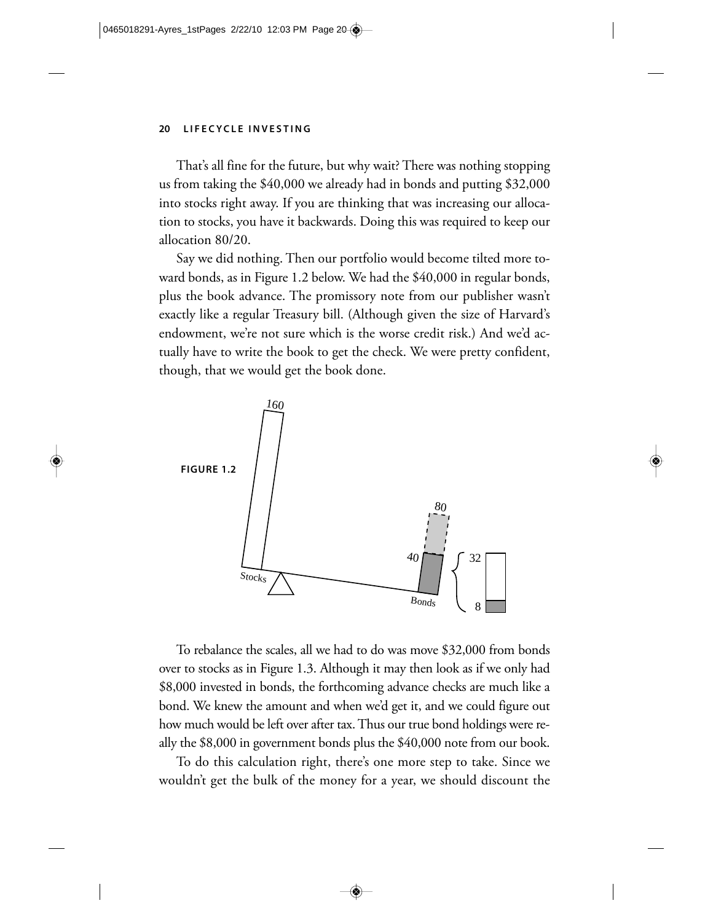That's all fine for the future, but why wait? There was nothing stopping us from taking the \$40,000 we already had in bonds and putting \$32,000 into stocks right away. If you are thinking that was increasing our allocation to stocks, you have it backwards. Doing this was required to keep our allocation 80/20.

Say we did nothing. Then our portfolio would become tilted more toward bonds, as in Figure 1.2 below. We had the \$40,000 in regular bonds, plus the book advance. The promissory note from our publisher wasn't exactly like a regular Treasury bill. (Although given the size of Harvard's endowment, we're not sure which is the worse credit risk.) And we'd actually have to write the book to get the check. We were pretty confident, though, that we would get the book done.



To rebalance the scales, all we had to do was move \$32,000 from bonds over to stocks as in Figure 1.3. Although it may then look as if we only had \$8,000 invested in bonds, the forthcoming advance checks are much like a bond. We knew the amount and when we'd get it, and we could figure out how much would be left over after tax. Thus our true bond holdings were really the \$8,000 in government bonds plus the \$40,000 note from our book.

To do this calculation right, there's one more step to take. Since we wouldn't get the bulk of the money for a year, we should discount the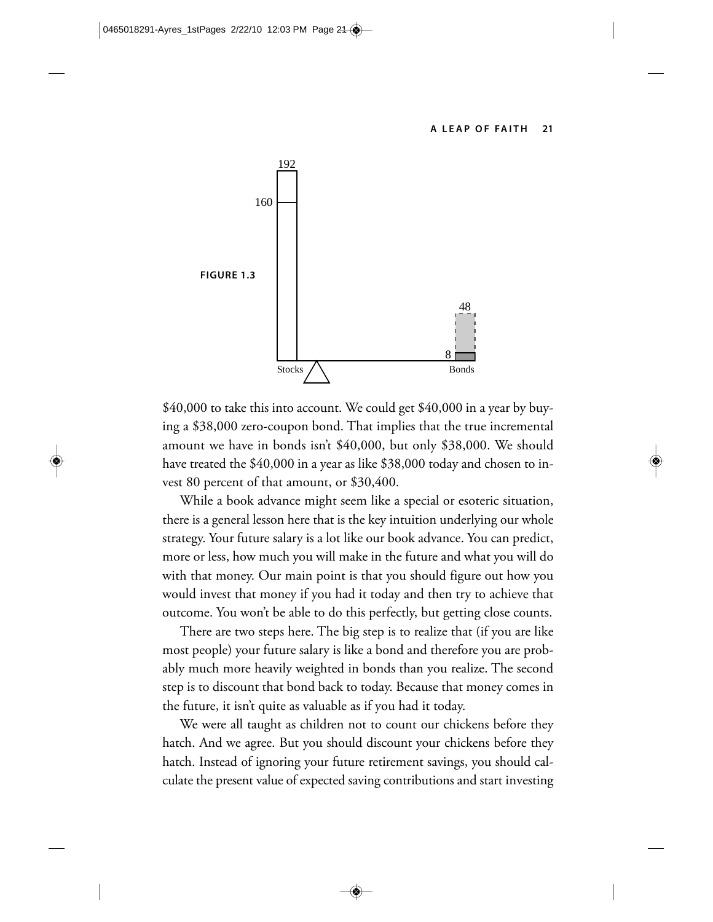

\$40,000 to take this into account. We could get \$40,000 in a year by buying a \$38,000 zero-coupon bond. That implies that the true incremental amount we have in bonds isn't \$40,000, but only \$38,000. We should have treated the \$40,000 in a year as like \$38,000 today and chosen to invest 80 percent of that amount, or \$30,400.

While a book advance might seem like a special or esoteric situation, there is a general lesson here that is the key intuition underlying our whole strategy. Your future salary is a lot like our book advance. You can predict, more or less, how much you will make in the future and what you will do with that money. Our main point is that you should figure out how you would invest that money if you had it today and then try to achieve that outcome. You won't be able to do this perfectly, but getting close counts.

There are two steps here. The big step is to realize that (if you are like most people) your future salary is like a bond and therefore you are probably much more heavily weighted in bonds than you realize. The second step is to discount that bond back to today. Because that money comes in the future, it isn't quite as valuable as if you had it today.

We were all taught as children not to count our chickens before they hatch. And we agree. But you should discount your chickens before they hatch. Instead of ignoring your future retirement savings, you should calculate the present value of expected saving contributions and start investing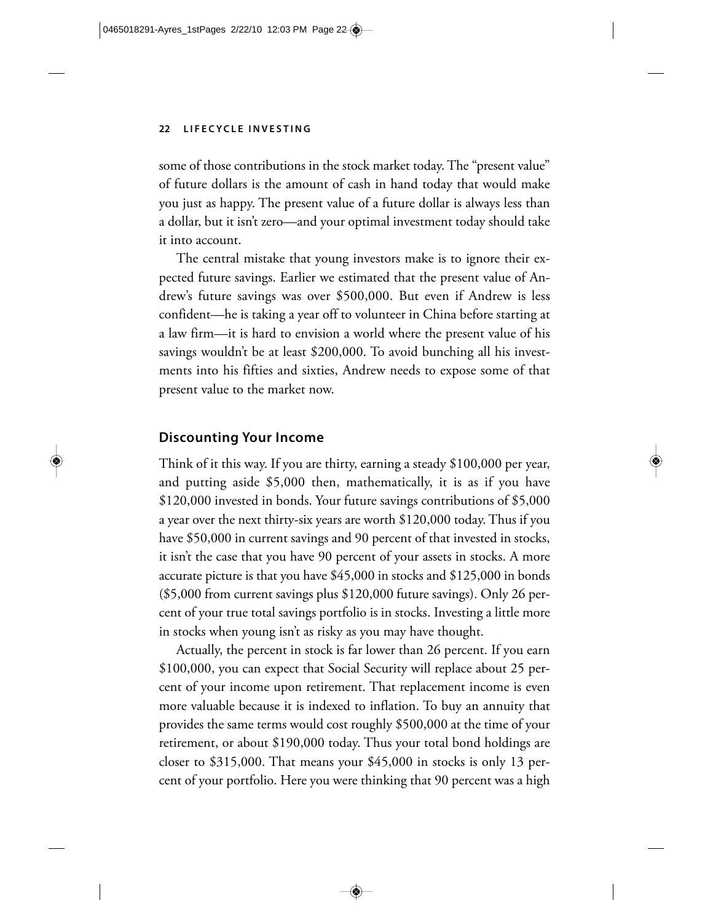some of those contributions in the stock market today. The "present value" of future dollars is the amount of cash in hand today that would make you just as happy. The present value of a future dollar is always less than a dollar, but it isn't zero—and your optimal investment today should take it into account.

The central mistake that young investors make is to ignore their expected future savings. Earlier we estimated that the present value of Andrew's future savings was over \$500,000. But even if Andrew is less confident—he is taking a year off to volunteer in China before starting at a law firm—it is hard to envision a world where the present value of his savings wouldn't be at least \$200,000. To avoid bunching all his investments into his fifties and sixties, Andrew needs to expose some of that present value to the market now.

#### **Discounting Your Income**

Think of it this way. If you are thirty, earning a steady \$100,000 per year, and putting aside \$5,000 then, mathematically, it is as if you have \$120,000 invested in bonds. Your future savings contributions of \$5,000 a year over the next thirty-six years are worth \$120,000 today. Thus if you have \$50,000 in current savings and 90 percent of that invested in stocks, it isn't the case that you have 90 percent of your assets in stocks. A more accurate picture is that you have \$45,000 in stocks and \$125,000 in bonds (\$5,000 from current savings plus \$120,000 future savings). Only 26 percent of your true total savings portfolio is in stocks. Investing a little more in stocks when young isn't as risky as you may have thought.

Actually, the percent in stock is far lower than 26 percent. If you earn \$100,000, you can expect that Social Security will replace about 25 percent of your income upon retirement. That replacement income is even more valuable because it is indexed to inflation. To buy an annuity that provides the same terms would cost roughly \$500,000 at the time of your retirement, or about \$190,000 today. Thus your total bond holdings are closer to \$315,000. That means your \$45,000 in stocks is only 13 percent of your portfolio. Here you were thinking that 90 percent was a high